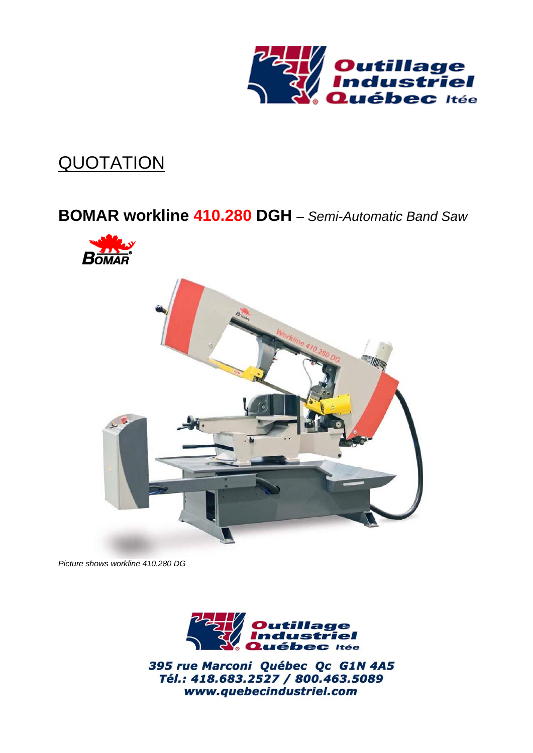

# **QUOTATION**

# **BOMAR workline 410.280 DGH** *– Semi-Automatic Band Saw*





*Picture shows workline 410.280 DG*



395 rue Marconi Québec Qc G1N 4A5 Tél.: 418.683.2527 / 800.463.5089 www.quebecindustriel.com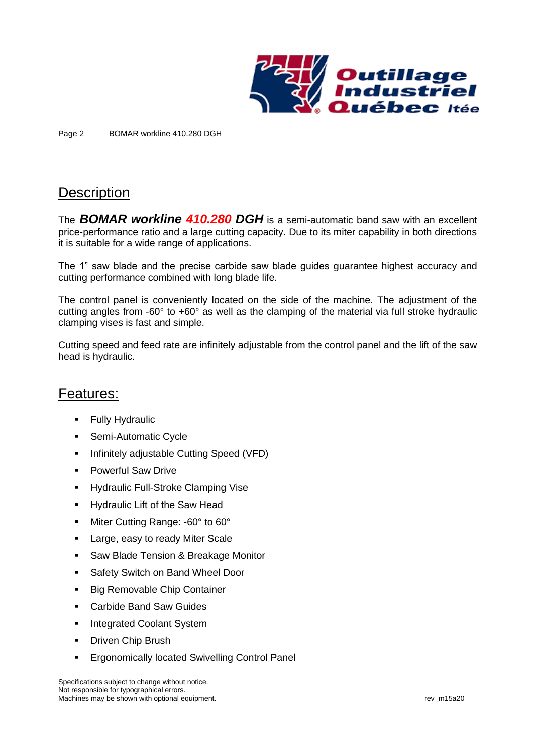

Page 2 BOMAR workline 410.280 DGH

### **Description**

The *BOMAR workline 410.280 DGH* is a semi-automatic band saw with an excellent price-performance ratio and a large cutting capacity. Due to its miter capability in both directions it is suitable for a wide range of applications.

The 1" saw blade and the precise carbide saw blade guides guarantee highest accuracy and cutting performance combined with long blade life.

The control panel is conveniently located on the side of the machine. The adjustment of the cutting angles from -60° to +60° as well as the clamping of the material via full stroke hydraulic clamping vises is fast and simple.

Cutting speed and feed rate are infinitely adjustable from the control panel and the lift of the saw head is hydraulic.

#### Features:

- **Fully Hydraulic**
- Semi-Automatic Cycle
- **·** Infinitely adjustable Cutting Speed (VFD)
- Powerful Saw Drive
- **■** Hydraulic Full-Stroke Clamping Vise
- Hydraulic Lift of the Saw Head
- Miter Cutting Range: -60° to 60°
- Large, easy to ready Miter Scale
- Saw Blade Tension & Breakage Monitor
- Safety Switch on Band Wheel Door
- Big Removable Chip Container
- Carbide Band Saw Guides
- **·** Integrated Coolant System
- **•** Driven Chip Brush
- **Ergonomically located Swivelling Control Panel**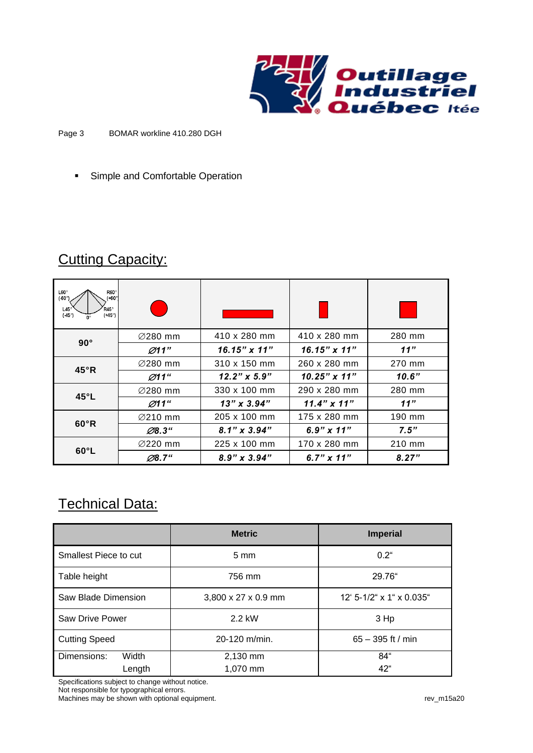

#### Page 3 BOMAR workline 410.280 DGH

■ Simple and Comfortable Operation

### **Cutting Capacity:**

| $L60^{\circ}$<br>R60°<br>$( +60°)$<br>(40°)<br>$R45^\circ$<br>$145^\circ$<br>(45°)<br>$(145^{\circ})$ |                      |                     |                     |        |
|-------------------------------------------------------------------------------------------------------|----------------------|---------------------|---------------------|--------|
| $90^\circ$                                                                                            | $\varnothing$ 280 mm | 410 x 280 mm        | 410 x 280 mm        | 280 mm |
|                                                                                                       | Ø11"                 | $16.15" \times 11"$ | $16.15" \times 11"$ | 11"    |
| $45^\circ R$                                                                                          | $\varnothing$ 280 mm | 310 x 150 mm        | 260 x 280 mm        | 270 mm |
|                                                                                                       | Ø11"                 | $12.2" \times 5.9"$ | $10.25" \times 11"$ | 10.6"  |
| $45^{\circ}$ L                                                                                        | $\varnothing$ 280 mm | 330 x 100 mm        | 290 x 280 mm        | 280 mm |
|                                                                                                       | Ø11"                 | $13''$ x $3.94''$   | $11.4" \times 11"$  | 11"    |
| $60^{\circ}R$                                                                                         | <b>⊘210 mm</b>       | 205 x 100 mm        | 175 x 280 mm        | 190 mm |
|                                                                                                       | $\emptyset$ 8.3"     | $8.1" \times 3.94"$ | $6.9" \times 11"$   | 7.5"   |
| $60^{\circ}$ L                                                                                        | $\varnothing$ 220 mm | 225 x 100 mm        | 170 x 280 mm        | 210 mm |
|                                                                                                       | Ø8.7"                | $8.9" \times 3.94"$ | 6.7" $\times$ 11"   | 8.27"  |

### Technical Data:

|                        | <b>Metric</b>                   | <b>Imperial</b>            |  |
|------------------------|---------------------------------|----------------------------|--|
| Smallest Piece to cut  | $5 \text{ mm}$                  | $0.2^{\circ}$              |  |
| Table height           | 756 mm                          | 29.76"                     |  |
| Saw Blade Dimension    | $3,800 \times 27 \times 0.9$ mm | $12'$ 5-1/2" x 1" x 0.035" |  |
| <b>Saw Drive Power</b> | 2.2 kW                          | 3 Hp                       |  |
| <b>Cutting Speed</b>   | 20-120 m/min.                   | $65 - 395$ ft / min        |  |
| Dimensions:<br>Width   | 2,130 mm                        | 84"                        |  |
| Length                 | 1,070 mm                        | 42"                        |  |

Specifications subject to change without notice.

Not responsible for typographical errors. Machines may be shown with optional equipment. The state of the state of the control of the control of the control of the control of the control of the control of the control of the control of the control of the control of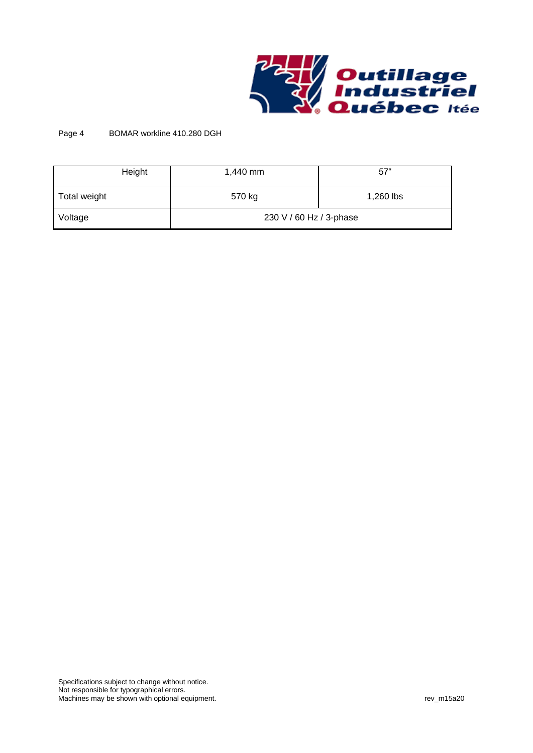

#### Page 4 BOMAR workline 410.280 DGH

| Height       | 1,440 mm                | $57^\circ$ |  |
|--------------|-------------------------|------------|--|
| Total weight | 570 kg                  | 1,260 lbs  |  |
| Voltage      | 230 V / 60 Hz / 3-phase |            |  |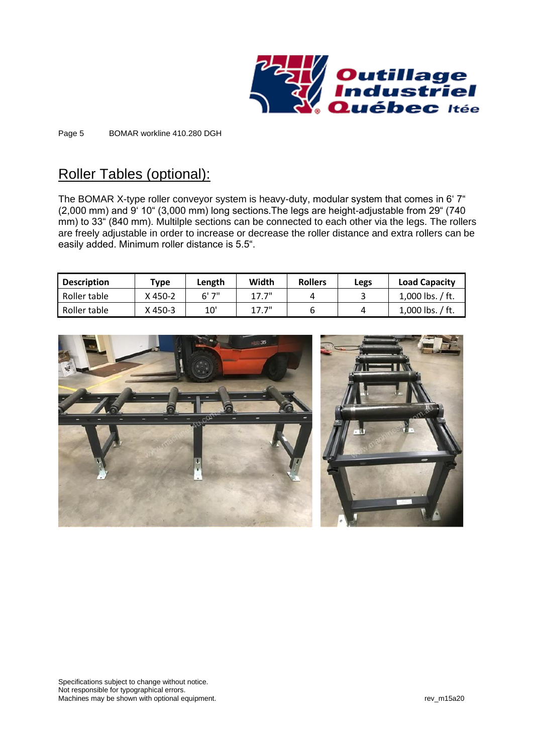

Page 5 BOMAR workline 410.280 DGH

## Roller Tables (optional):

The BOMAR X-type roller conveyor system is heavy-duty, modular system that comes in 6' 7" (2,000 mm) and 9' 10" (3,000 mm) long sections.The legs are height-adjustable from 29" (740 mm) to 33" (840 mm). Multilple sections can be connected to each other via the legs. The rollers are freely adjustable in order to increase or decrease the roller distance and extra rollers can be easily added. Minimum roller distance is 5.5".

| <b>Description</b> | Type    | Length | Width | <b>Rollers</b> | Legs | <b>Load Capacity</b> |
|--------------------|---------|--------|-------|----------------|------|----------------------|
| Roller table       | X 450-2 | 6' 7"  | 17.7" | 4              |      | 1,000 lbs. $/$ ft.   |
| Roller table       | X 450-3 | 10'    | 17.7" |                |      | 1,000 lbs. $/$ ft.   |